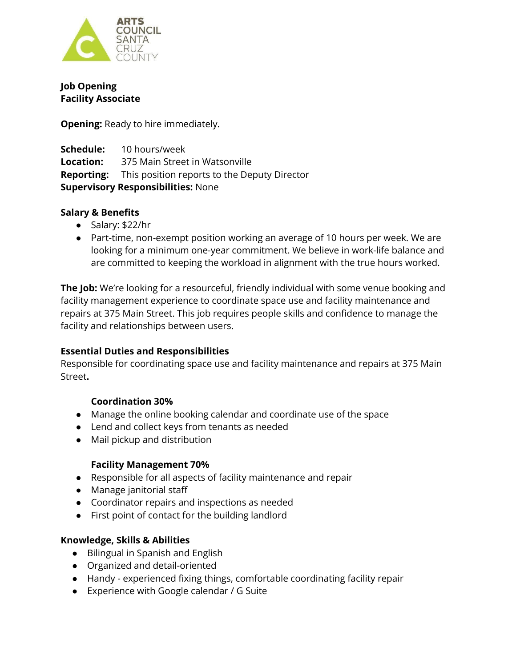

**Job Opening Facility Associate**

**Opening:** Ready to hire immediately.

**Schedule:** 10 hours/week **Location:** 375 Main Street in Watsonville **Reporting:** This position reports to the Deputy Director **Supervisory Responsibilities:** None

## **Salary & Benefits**

- Salary: \$22/hr
- Part-time, non-exempt position working an average of 10 hours per week. We are looking for a minimum one-year commitment. We believe in work-life balance and are committed to keeping the workload in alignment with the true hours worked.

**The Job:** We're looking for a resourceful, friendly individual with some venue booking and facility management experience to coordinate space use and facility maintenance and repairs at 375 Main Street. This job requires people skills and confidence to manage the facility and relationships between users.

# **Essential Duties and Responsibilities**

Responsible for coordinating space use and facility maintenance and repairs at 375 Main Street**.**

# **Coordination 30%**

- Manage the online booking calendar and coordinate use of the space
- Lend and collect keys from tenants as needed
- Mail pickup and distribution

### **Facility Management 70%**

- Responsible for all aspects of facility maintenance and repair
- Manage janitorial staff
- Coordinator repairs and inspections as needed
- First point of contact for the building landlord

### **Knowledge, Skills & Abilities**

- Bilingual in Spanish and English
- Organized and detail-oriented
- Handy experienced fixing things, comfortable coordinating facility repair
- Experience with Google calendar / G Suite